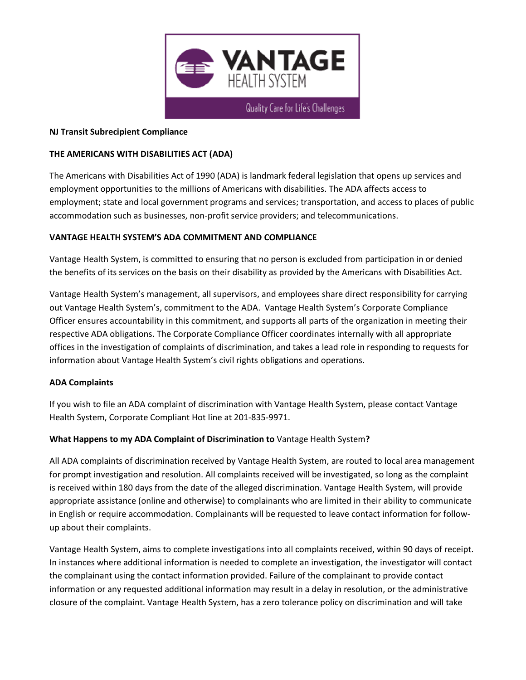

#### **NJ Transit Subrecipient Compliance**

#### **THE AMERICANS WITH DISABILITIES ACT (ADA)**

The Americans with Disabilities Act of 1990 (ADA) is landmark federal legislation that opens up services and employment opportunities to the millions of Americans with disabilities. The ADA affects access to employment; state and local government programs and services; transportation, and access to places of public accommodation such as businesses, non-profit service providers; and telecommunications.

## **VANTAGE HEALTH SYSTEM'S ADA COMMITMENT AND COMPLIANCE**

Vantage Health System, is committed to ensuring that no person is excluded from participation in or denied the benefits of its services on the basis on their disability as provided by the Americans with Disabilities Act.

Vantage Health System's management, all supervisors, and employees share direct responsibility for carrying out Vantage Health System's, commitment to the ADA. Vantage Health System's Corporate Compliance Officer ensures accountability in this commitment, and supports all parts of the organization in meeting their respective ADA obligations. The Corporate Compliance Officer coordinates internally with all appropriate offices in the investigation of complaints of discrimination, and takes a lead role in responding to requests for information about Vantage Health System's civil rights obligations and operations.

#### **ADA Complaints**

If you wish to file an ADA complaint of discrimination with Vantage Health System, please contact Vantage Health System, Corporate Compliant Hot line at 201-835-9971.

#### **What Happens to my ADA Complaint of Discrimination to** Vantage Health System**?**

All ADA complaints of discrimination received by Vantage Health System, are routed to local area management for prompt investigation and resolution. All complaints received will be investigated, so long as the complaint is received within 180 days from the date of the alleged discrimination. Vantage Health System, will provide appropriate assistance (online and otherwise) to complainants who are limited in their ability to communicate in English or require accommodation. Complainants will be requested to leave contact information for followup about their complaints.

Vantage Health System, aims to complete investigations into all complaints received, within 90 days of receipt. In instances where additional information is needed to complete an investigation, the investigator will contact the complainant using the contact information provided. Failure of the complainant to provide contact information or any requested additional information may result in a delay in resolution, or the administrative closure of the complaint. Vantage Health System, has a zero tolerance policy on discrimination and will take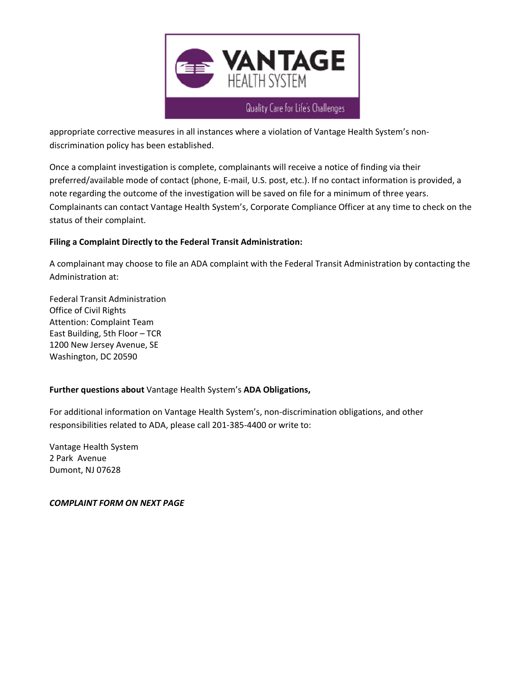

appropriate corrective measures in all instances where a violation of Vantage Health System's nondiscrimination policy has been established.

Once a complaint investigation is complete, complainants will receive a notice of finding via their preferred/available mode of contact (phone, E-mail, U.S. post, etc.). If no contact information is provided, a note regarding the outcome of the investigation will be saved on file for a minimum of three years. Complainants can contact Vantage Health System's, Corporate Compliance Officer at any time to check on the status of their complaint.

## **Filing a Complaint Directly to the Federal Transit Administration:**

A complainant may choose to file an ADA complaint with the Federal Transit Administration by contacting the Administration at:

Federal Transit Administration Office of Civil Rights Attention: Complaint Team East Building, 5th Floor – TCR 1200 New Jersey Avenue, SE Washington, DC 20590

# **Further questions about** Vantage Health System's **ADA Obligations,**

For additional information on Vantage Health System's, non-discrimination obligations, and other responsibilities related to ADA, please call 201-385-4400 or write to:

Vantage Health System 2 Park Avenue Dumont, NJ 07628

*COMPLAINT FORM ON NEXT PAGE*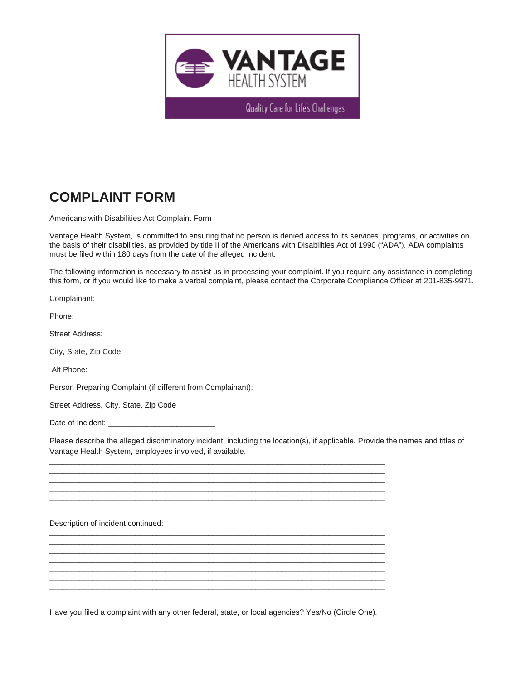

Quality Care for Life's Challenges

# **COMPLAINT FORM**

Americans with Disabilities Act Complaint Form

Vantage Health System, is committed to ensuring that no person is denied access to its services, programs, or activities on the basis of their disabilities, as provided by title II of the Americans with Disabilities Act of 1990 ("ADA"). ADA complaints must be filed within 180 days from the date of the alleged incident.

The following information is necessary to assist us in processing your complaint. If you require any assistance in completing this form, or if you would like to make a verbal complaint, please contact the Corporate Compliance Officer at 201-835-9971.

Complainant:

Phone:

Street Address:

City, State, Zip Code

Alt Phone:

Person Preparing Complaint (if different from Complainant):

Street Address, City, State, Zip Code

Date of Incident:

Please describe the alleged discriminatory incident, including the location(s), if applicable. Provide the names and titles of Vantage Health System, employees involved, if available.

Description of incident continued:

Have you filed a complaint with any other federal, state, or local agencies? Yes/No (Circle One).

\_\_\_\_\_\_\_\_\_\_\_\_\_\_\_\_\_\_\_\_\_\_\_\_\_\_\_\_\_\_\_\_\_\_\_\_\_\_\_\_\_\_\_\_\_\_\_\_\_\_\_\_\_\_\_\_\_\_\_\_\_\_\_\_\_\_\_\_\_\_\_\_\_\_\_\_\_\_ \_\_\_\_\_\_\_\_\_\_\_\_\_\_\_\_\_\_\_\_\_\_\_\_\_\_\_\_\_\_\_\_\_\_\_\_\_\_\_\_\_\_\_\_\_\_\_\_\_\_\_\_\_\_\_\_\_\_\_\_\_\_\_\_\_\_\_\_\_\_\_\_\_\_\_\_\_\_ \_\_\_\_\_\_\_\_\_\_\_\_\_\_\_\_\_\_\_\_\_\_\_\_\_\_\_\_\_\_\_\_\_\_\_\_\_\_\_\_\_\_\_\_\_\_\_\_\_\_\_\_\_\_\_\_\_\_\_\_\_\_\_\_\_\_\_\_\_\_\_\_\_\_\_\_\_\_ \_\_\_\_\_\_\_\_\_\_\_\_\_\_\_\_\_\_\_\_\_\_\_\_\_\_\_\_\_\_\_\_\_\_\_\_\_\_\_\_\_\_\_\_\_\_\_\_\_\_\_\_\_\_\_\_\_\_\_\_\_\_\_\_\_\_\_\_\_\_\_\_\_\_\_\_\_\_ \_\_\_\_\_\_\_\_\_\_\_\_\_\_\_\_\_\_\_\_\_\_\_\_\_\_\_\_\_\_\_\_\_\_\_\_\_\_\_\_\_\_\_\_\_\_\_\_\_\_\_\_\_\_\_\_\_\_\_\_\_\_\_\_\_\_\_\_\_\_\_\_\_\_\_\_\_\_

\_\_\_\_\_\_\_\_\_\_\_\_\_\_\_\_\_\_\_\_\_\_\_\_\_\_\_\_\_\_\_\_\_\_\_\_\_\_\_\_\_\_\_\_\_\_\_\_\_\_\_\_\_\_\_\_\_\_\_\_\_\_\_\_\_\_\_\_\_\_\_\_\_\_\_\_\_\_ \_\_\_\_\_\_\_\_\_\_\_\_\_\_\_\_\_\_\_\_\_\_\_\_\_\_\_\_\_\_\_\_\_\_\_\_\_\_\_\_\_\_\_\_\_\_\_\_\_\_\_\_\_\_\_\_\_\_\_\_\_\_\_\_\_\_\_\_\_\_\_\_\_\_\_\_\_\_ \_\_\_\_\_\_\_\_\_\_\_\_\_\_\_\_\_\_\_\_\_\_\_\_\_\_\_\_\_\_\_\_\_\_\_\_\_\_\_\_\_\_\_\_\_\_\_\_\_\_\_\_\_\_\_\_\_\_\_\_\_\_\_\_\_\_\_\_\_\_\_\_\_\_\_\_\_\_ \_\_\_\_\_\_\_\_\_\_\_\_\_\_\_\_\_\_\_\_\_\_\_\_\_\_\_\_\_\_\_\_\_\_\_\_\_\_\_\_\_\_\_\_\_\_\_\_\_\_\_\_\_\_\_\_\_\_\_\_\_\_\_\_\_\_\_\_\_\_\_\_\_\_\_\_\_\_ \_\_\_\_\_\_\_\_\_\_\_\_\_\_\_\_\_\_\_\_\_\_\_\_\_\_\_\_\_\_\_\_\_\_\_\_\_\_\_\_\_\_\_\_\_\_\_\_\_\_\_\_\_\_\_\_\_\_\_\_\_\_\_\_\_\_\_\_\_\_\_\_\_\_\_\_\_\_ \_\_\_\_\_\_\_\_\_\_\_\_\_\_\_\_\_\_\_\_\_\_\_\_\_\_\_\_\_\_\_\_\_\_\_\_\_\_\_\_\_\_\_\_\_\_\_\_\_\_\_\_\_\_\_\_\_\_\_\_\_\_\_\_\_\_\_\_\_\_\_\_\_\_\_\_\_\_ \_\_\_\_\_\_\_\_\_\_\_\_\_\_\_\_\_\_\_\_\_\_\_\_\_\_\_\_\_\_\_\_\_\_\_\_\_\_\_\_\_\_\_\_\_\_\_\_\_\_\_\_\_\_\_\_\_\_\_\_\_\_\_\_\_\_\_\_\_\_\_\_\_\_\_\_\_\_